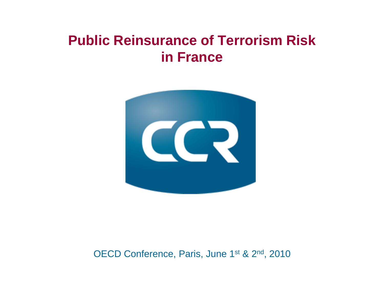## **Public Reinsurance of Terrorism Risk in France**



OECD Conference, Paris, June 1<sup>st</sup> & 2<sup>nd</sup>, 2010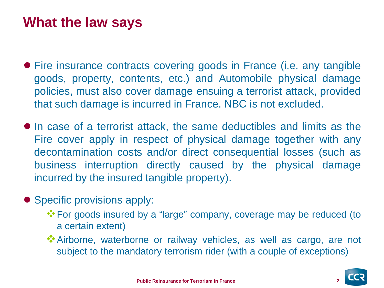## **What the law says**

- Fire insurance contracts covering goods in France (i.e. any tangible goods, property, contents, etc.) and Automobile physical damage policies, must also cover damage ensuing a terrorist attack, provided that such damage is incurred in France. NBC is not excluded.
- In case of a terrorist attack, the same deductibles and limits as the Fire cover apply in respect of physical damage together with any decontamination costs and/or direct consequential losses (such as business interruption directly caused by the physical damage incurred by the insured tangible property).
- Specific provisions apply:
	- For goods insured by a "large" company, coverage may be reduced (to a certain extent)
	- Airborne, waterborne or railway vehicles, as well as cargo, are not subject to the mandatory terrorism rider (with a couple of exceptions)

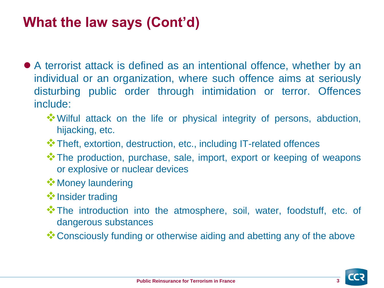## **What the law says (Cont'd)**

- A terrorist attack is defined as an intentional offence, whether by an individual or an organization, where such offence aims at seriously disturbing public order through intimidation or terror. Offences include:
	- Wilful attack on the life or physical integrity of persons, abduction, hijacking, etc.
	- Theft, extortion, destruction, etc., including IT-related offences
	- The production, purchase, sale, import, export or keeping of weapons or explosive or nuclear devices
	- **<sup>❖</sup> Money laundering**
	- **<sup>◆</sup>Insider trading**
	- \*The introduction into the atmosphere, soil, water, foodstuff, etc. of dangerous substances
	- \*\*\*\*\* Consciously funding or otherwise aiding and abetting any of the above

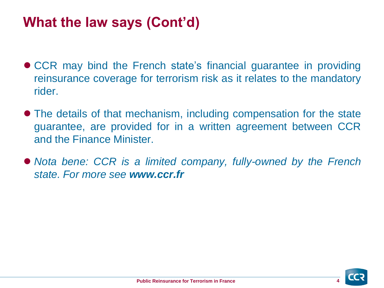## **What the law says (Cont'd)**

- CCR may bind the French state's financial guarantee in providing reinsurance coverage for terrorism risk as it relates to the mandatory rider.
- The details of that mechanism, including compensation for the state guarantee, are provided for in a written agreement between CCR and the Finance Minister.
- *Nota bene: CCR is a limited company, fully-owned by the French state. For more see www.ccr.fr*

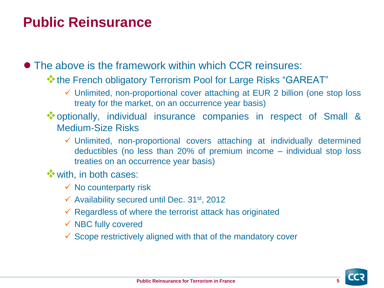## **Public Reinsurance**

● The above is the framework within which CCR reinsures:

- \*\* the French obligatory Terrorism Pool for Large Risks "GAREAT"
	- Unlimited, non-proportional cover attaching at EUR 2 billion (one stop loss treaty for the market, on an occurrence year basis)
- optionally, individual insurance companies in respect of Small & Medium-Size Risks
	- $\checkmark$  Unlimited, non-proportional covers attaching at individually determined deductibles (no less than 20% of premium income – individual stop loss treaties on an occurrence year basis)
- with, in both cases:
	- $\checkmark$  No counterparty risk
	- $\checkmark$  Availability secured until Dec. 31st, 2012
	- $\checkmark$  Regardless of where the terrorist attack has originated
	- $\checkmark$  NBC fully covered
	- $\checkmark$  Scope restrictively aligned with that of the mandatory cover

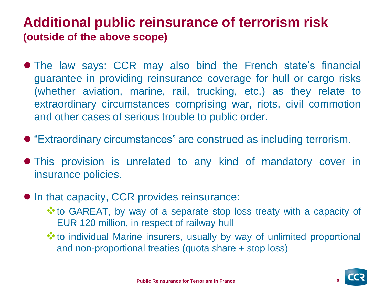### **Additional public reinsurance of terrorism risk (outside of the above scope)**

- The law says: CCR may also bind the French state's financial guarantee in providing reinsurance coverage for hull or cargo risks (whether aviation, marine, rail, trucking, etc.) as they relate to extraordinary circumstances comprising war, riots, civil commotion and other cases of serious trouble to public order.
- "Extraordinary circumstances" are construed as including terrorism.
- This provision is unrelated to any kind of mandatory cover in insurance policies.
- In that capacity, CCR provides reinsurance:
	- \*\* to GAREAT, by way of a separate stop loss treaty with a capacity of EUR 120 million, in respect of railway hull
	- \*\* to individual Marine insurers, usually by way of unlimited proportional and non-proportional treaties (quota share + stop loss)

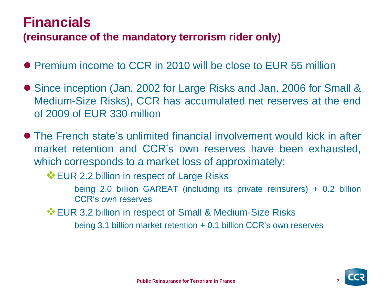## **Financials**

#### **(reinsurance of the mandatory terrorism rider only)**

- Premium income to CCR in 2010 will be close to EUR 55 million
- Since inception (Jan. 2002 for Large Risks and Jan. 2006 for Small & Medium-Size Risks), CCR has accumulated net reserves at the end of 2009 of EUR 330 million
- The French state's unlimited financial involvement would kick in after market retention and CCR's own reserves have been exhausted, which corresponds to a market loss of approximately:
	- **EUR 2.2 billion in respect of Large Risks** 
		- being 2.0 billion GAREAT (including its private reinsurers) + 0.2 billion CCR's own reserves
	- **EUR 3.2 billion in respect of Small & Medium-Size Risks**

being 3.1 billion market retention + 0.1 billion CCR's own reserves

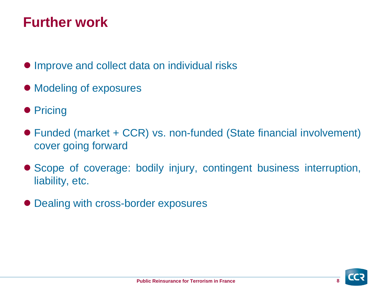## **Further work**

- Improve and collect data on individual risks
- Modeling of exposures
- Pricing
- Funded (market + CCR) vs. non-funded (State financial involvement) cover going forward
- Scope of coverage: bodily injury, contingent business interruption, liability, etc.
- Dealing with cross-border exposures